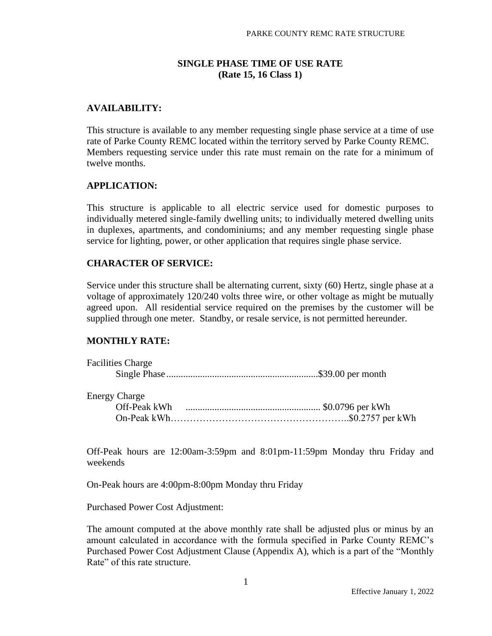## **SINGLE PHASE TIME OF USE RATE (Rate 15, 16 Class 1)**

# **AVAILABILITY:**

This structure is available to any member requesting single phase service at a time of use rate of Parke County REMC located within the territory served by Parke County REMC. Members requesting service under this rate must remain on the rate for a minimum of twelve months.

#### **APPLICATION:**

This structure is applicable to all electric service used for domestic purposes to individually metered single-family dwelling units; to individually metered dwelling units in duplexes, apartments, and condominiums; and any member requesting single phase service for lighting, power, or other application that requires single phase service.

#### **CHARACTER OF SERVICE:**

Service under this structure shall be alternating current, sixty (60) Hertz, single phase at a voltage of approximately 120/240 volts three wire, or other voltage as might be mutually agreed upon. All residential service required on the premises by the customer will be supplied through one meter. Standby, or resale service, is not permitted hereunder.

# **MONTHLY RATE:**

| <b>Facilities Charge</b> |  |
|--------------------------|--|
|                          |  |
|                          |  |
| <b>Energy Charge</b>     |  |
|                          |  |
|                          |  |

Off-Peak hours are 12:00am-3:59pm and 8:01pm-11:59pm Monday thru Friday and weekends

On-Peak hours are 4:00pm-8:00pm Monday thru Friday

Purchased Power Cost Adjustment:

The amount computed at the above monthly rate shall be adjusted plus or minus by an amount calculated in accordance with the formula specified in Parke County REMC's Purchased Power Cost Adjustment Clause (Appendix A), which is a part of the "Monthly Rate" of this rate structure.

1